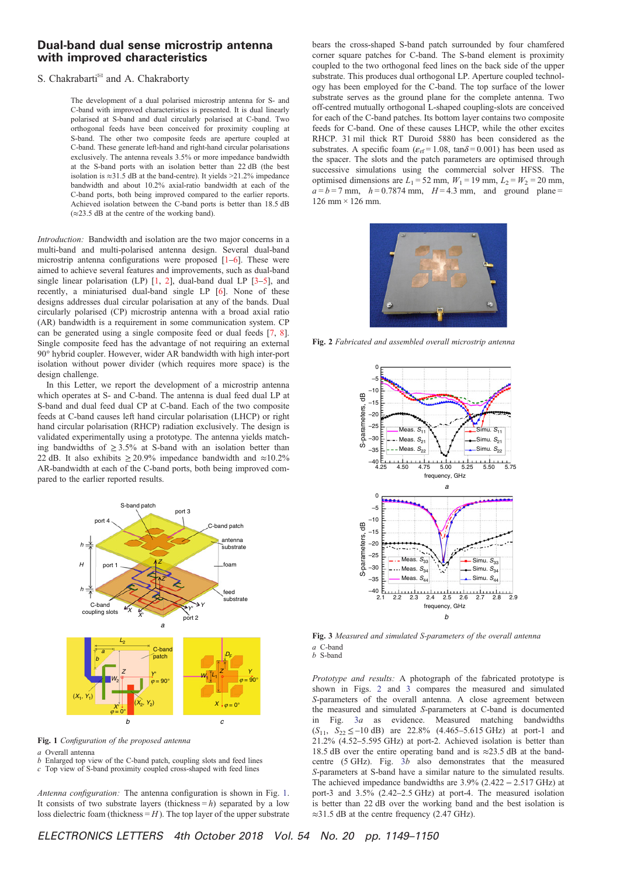## Dual-band dual sense microstrip antenna with improved characteristics

## S. Chakrabarti<sup>®</sup> and A. Chakraborty

The development of a dual polarised microstrip antenna for S- and C-band with improved characteristics is presented. It is dual linearly polarised at S-band and dual circularly polarised at C-band. Two orthogonal feeds have been conceived for proximity coupling at S-band. The other two composite feeds are aperture coupled at C-band. These generate left-hand and right-hand circular polarisations exclusively. The antenna reveals 3.5% or more impedance bandwidth at the S-band ports with an isolation better than 22 dB (the best isolation is  $\approx$ 31.5 dB at the band-centre). It yields >21.2% impedance bandwidth and about 10.2% axial-ratio bandwidth at each of the C-band ports, both being improved compared to the earlier reports. Achieved isolation between the C-band ports is better than 18.5 dB  $(\approx 23.5$  dB at the centre of the working band).

*Introduction:* Bandwidth and isolation are the two major concerns in a multi-band and multi-polarised antenna design. Several dual-band microstrip antenna configurations were proposed [1–6]. These were aimed to achieve several features and improvements, such as dual-band single linear polarisation (LP)  $[1, 2]$ , dual-band dual LP  $[3-5]$ , and recently, a miniaturised dual-band single LP [6]. None of these designs addresses dual circular polarisation at any of the bands. Dual circularly polarised (CP) microstrip antenna with a broad axial ratio (AR) bandwidth is a requirement in some communication system. CP can be generated using a single composite feed or dual feeds [7, 8]. Single composite feed has the advantage of not requiring an external 90° hybrid coupler. However, wider AR bandwidth with high inter-port isolation without power divider (which requires more space) is the design challenge.

In this Letter, we report the development of a microstrip antenna which operates at S- and C-band. The antenna is dual feed dual LP at S-band and dual feed dual CP at C-band. Each of the two composite feeds at C-band causes left hand circular polarisation (LHCP) or right hand circular polarisation (RHCP) radiation exclusively. The design is validated experimentally using a prototype. The antenna yields matching bandwidths of  $\geq 3.5\%$  at S-band with an isolation better than 22 dB. It also exhibits  $\geq 20.9\%$  impedance bandwidth and  $\approx 10.2\%$ AR-bandwidth at each of the C-band ports, both being improved compared to the earlier reported results.



Fig. 1 *Con*fi*guration of the proposed antenna*

*a* Overall antenna *b* Enlarged top view of the C-band patch, coupling slots and feed lines

*c* Top view of S-band proximity coupled cross-shaped with feed lines

*Antenna configuration:* The antenna configuration is shown in Fig. 1. It consists of two substrate layers (thickness  $= h$ ) separated by a low loss dielectric foam (thickness  $=$  *H*). The top layer of the upper substrate bears the cross-shaped S-band patch surrounded by four chamfered corner square patches for C-band. The S-band element is proximity coupled to the two orthogonal feed lines on the back side of the upper substrate. This produces dual orthogonal LP. Aperture coupled technology has been employed for the C-band. The top surface of the lower substrate serves as the ground plane for the complete antenna. Two off-centred mutually orthogonal L-shaped coupling-slots are conceived for each of the C-band patches. Its bottom layer contains two composite feeds for C-band. One of these causes LHCP, while the other excites RHCP. 31 mil thick RT Duroid 5880 has been considered as the substrates. A specific foam ( $\varepsilon$ <sub>rf</sub> = 1.08, tan $\delta$  = 0.001) has been used as the spacer. The slots and the patch parameters are optimised through successive simulations using the commercial solver HFSS. The optimised dimensions are  $L_1 = 52$  mm,  $W_1 = 19$  mm,  $L_2 = W_2 = 20$  mm,  $a = b = 7$  mm,  $h = 0.7874$  mm,  $H = 4.3$  mm, and ground plane =  $126 \text{ mm} \times 126 \text{ mm}$ .



Fig. 2 *Fabricated and assembled overall microstrip antenna*



Fig. 3 *Measured and simulated S-parameters of the overall antenna a* C-band *b* S-band

*Prototype and results:* A photograph of the fabricated prototype is shown in Figs. 2 and 3 compares the measured and simulated *S*-parameters of the overall antenna. A close agreement between the measured and simulated *S*-parameters at C-band is documented in Fig. 3*a* as evidence. Measured matching bandwidths  $(S_{11}, S_{22} \le -10 \text{ dB})$  are 22.8%  $(4.465 - 5.615 \text{ GHz})$  at port-1 and 21.2% (4.52–5.595 GHz) at port-2. Achieved isolation is better than 18.5 dB over the entire operating band and is ≈23.5 dB at the bandcentre (5 GHz). Fig. 3*b* also demonstrates that the measured *S*-parameters at S-band have a similar nature to the simulated results. The achieved impedance bandwidths are  $3.9\%$  (2.422 – 2.517 GHz) at port-3 and 3.5% (2.42–2.5 GHz) at port-4. The measured isolation is better than 22 dB over the working band and the best isolation is ≈31.5 dB at the centre frequency (2.47 GHz).